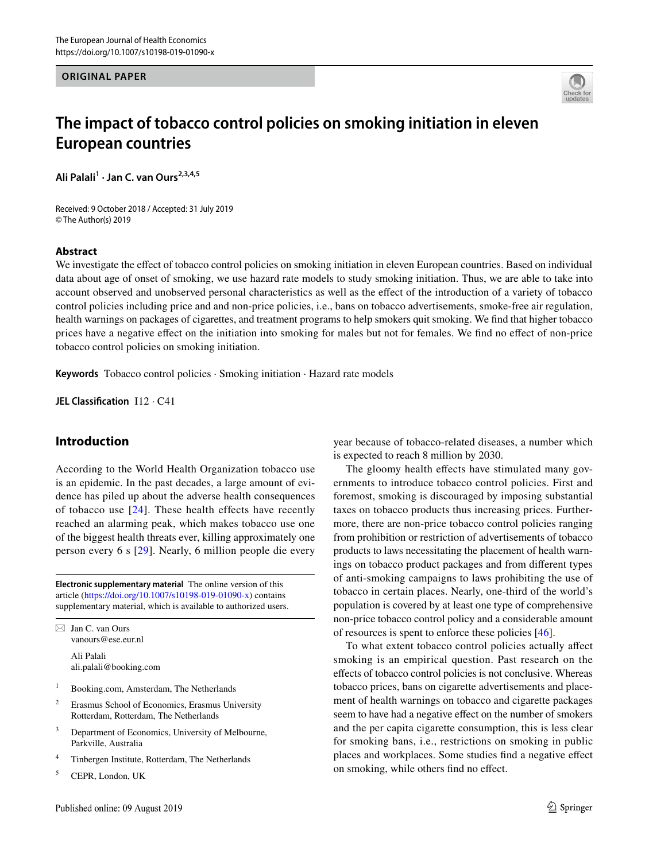#### **ORIGINAL PAPER**



# **The impact of tobacco control policies on smoking initiation in eleven European countries**

Ali Palali<sup>1</sup> · Jan C. van Ours<sup>2,3,4,5</sup>

Received: 9 October 2018 / Accepted: 31 July 2019 © The Author(s) 2019

#### **Abstract**

We investigate the effect of tobacco control policies on smoking initiation in eleven European countries. Based on individual data about age of onset of smoking, we use hazard rate models to study smoking initiation. Thus, we are able to take into account observed and unobserved personal characteristics as well as the efect of the introduction of a variety of tobacco control policies including price and and non-price policies, i.e., bans on tobacco advertisements, smoke-free air regulation, health warnings on packages of cigarettes, and treatment programs to help smokers quit smoking. We fnd that higher tobacco prices have a negative efect on the initiation into smoking for males but not for females. We fnd no efect of non-price tobacco control policies on smoking initiation.

**Keywords** Tobacco control policies · Smoking initiation · Hazard rate models

**JEL Classifcation** I12 · C41

# **Introduction**

According to the World Health Organization tobacco use is an epidemic. In the past decades, a large amount of evidence has piled up about the adverse health consequences of tobacco use [\[24\]](#page-14-0). These health effects have recently reached an alarming peak, which makes tobacco use one of the biggest health threats ever, killing approximately one person every 6 s [\[29\]](#page-14-1). Nearly, 6 million people die every

**Electronic supplementary material** The online version of this article [\(https://doi.org/10.1007/s10198-019-01090-x\)](https://doi.org/10.1007/s10198-019-01090-x) contains supplementary material, which is available to authorized users.

 $\boxtimes$  Jan C. van Ours vanours@ese.eur.nl Ali Palali ali.palali@booking.com

- <sup>1</sup> Booking.com, Amsterdam, The Netherlands
- <sup>2</sup> Erasmus School of Economics, Erasmus University Rotterdam, Rotterdam, The Netherlands
- <sup>3</sup> Department of Economics, University of Melbourne, Parkville, Australia
- <sup>4</sup> Tinbergen Institute, Rotterdam, The Netherlands
- <sup>5</sup> CEPR, London, UK

year because of tobacco-related diseases, a number which is expected to reach 8 million by 2030.

The gloomy health effects have stimulated many governments to introduce tobacco control policies. First and foremost, smoking is discouraged by imposing substantial taxes on tobacco products thus increasing prices. Furthermore, there are non-price tobacco control policies ranging from prohibition or restriction of advertisements of tobacco products to laws necessitating the placement of health warnings on tobacco product packages and from diferent types of anti-smoking campaigns to laws prohibiting the use of tobacco in certain places. Nearly, one-third of the world's population is covered by at least one type of comprehensive non-price tobacco control policy and a considerable amount of resources is spent to enforce these policies [[46\]](#page-14-2).

To what extent tobacco control policies actually afect smoking is an empirical question. Past research on the efects of tobacco control policies is not conclusive. Whereas tobacco prices, bans on cigarette advertisements and placement of health warnings on tobacco and cigarette packages seem to have had a negative efect on the number of smokers and the per capita cigarette consumption, this is less clear for smoking bans, i.e., restrictions on smoking in public places and workplaces. Some studies fnd a negative efect on smoking, while others fnd no efect.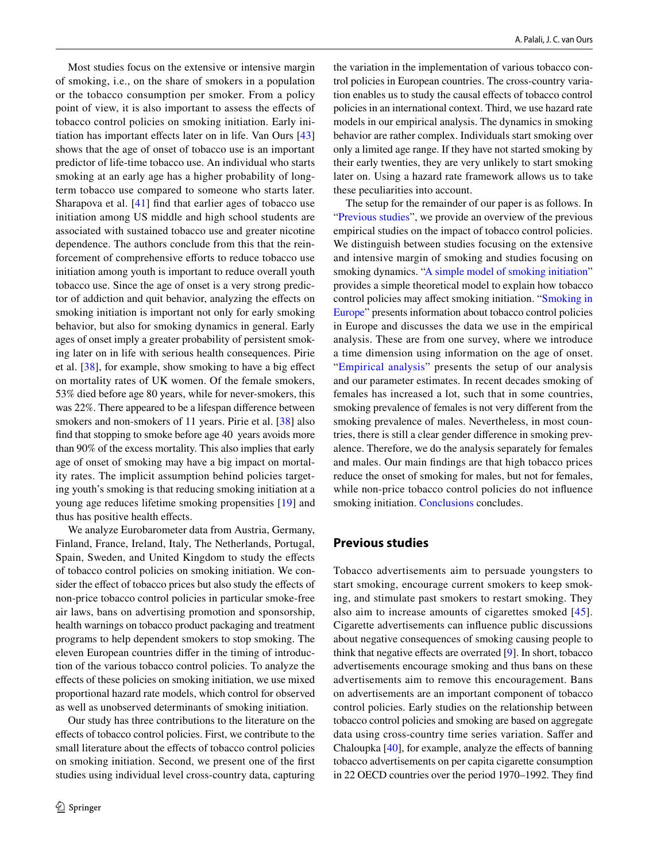Most studies focus on the extensive or intensive margin of smoking, i.e., on the share of smokers in a population or the tobacco consumption per smoker. From a policy point of view, it is also important to assess the efects of tobacco control policies on smoking initiation. Early ini-tiation has important effects later on in life. Van Ours [[43\]](#page-14-3) shows that the age of onset of tobacco use is an important predictor of life-time tobacco use. An individual who starts smoking at an early age has a higher probability of longterm tobacco use compared to someone who starts later. Sharapova et al. [[41](#page-14-4)] fnd that earlier ages of tobacco use initiation among US middle and high school students are associated with sustained tobacco use and greater nicotine dependence. The authors conclude from this that the reinforcement of comprehensive efforts to reduce tobacco use initiation among youth is important to reduce overall youth tobacco use. Since the age of onset is a very strong predictor of addiction and quit behavior, analyzing the efects on smoking initiation is important not only for early smoking behavior, but also for smoking dynamics in general. Early ages of onset imply a greater probability of persistent smoking later on in life with serious health consequences. Pirie et al. [\[38](#page-14-5)], for example, show smoking to have a big efect on mortality rates of UK women. Of the female smokers, 53% died before age 80 years, while for never-smokers, this was 22%. There appeared to be a lifespan diference between smokers and non-smokers of 11 years. Pirie et al. [[38\]](#page-14-5) also fnd that stopping to smoke before age 40 years avoids more than 90% of the excess mortality. This also implies that early age of onset of smoking may have a big impact on mortality rates. The implicit assumption behind policies targeting youth's smoking is that reducing smoking initiation at a young age reduces lifetime smoking propensities [\[19](#page-14-6)] and thus has positive health efects.

We analyze Eurobarometer data from Austria, Germany, Finland, France, Ireland, Italy, The Netherlands, Portugal, Spain, Sweden, and United Kingdom to study the effects of tobacco control policies on smoking initiation. We consider the effect of tobacco prices but also study the effects of non-price tobacco control policies in particular smoke-free air laws, bans on advertising promotion and sponsorship, health warnings on tobacco product packaging and treatment programs to help dependent smokers to stop smoking. The eleven European countries difer in the timing of introduction of the various tobacco control policies. To analyze the efects of these policies on smoking initiation, we use mixed proportional hazard rate models, which control for observed as well as unobserved determinants of smoking initiation.

Our study has three contributions to the literature on the efects of tobacco control policies. First, we contribute to the small literature about the effects of tobacco control policies on smoking initiation. Second, we present one of the frst studies using individual level cross-country data, capturing the variation in the implementation of various tobacco control policies in European countries. The cross-country variation enables us to study the causal efects of tobacco control policies in an international context. Third, we use hazard rate models in our empirical analysis. The dynamics in smoking behavior are rather complex. Individuals start smoking over only a limited age range. If they have not started smoking by their early twenties, they are very unlikely to start smoking later on. Using a hazard rate framework allows us to take these peculiarities into account.

The setup for the remainder of our paper is as follows. In "[Previous studies](#page-1-0)", we provide an overview of the previous empirical studies on the impact of tobacco control policies. We distinguish between studies focusing on the extensive and intensive margin of smoking and studies focusing on smoking dynamics. ["A simple model of smoking initiation"](#page-4-0) provides a simple theoretical model to explain how tobacco control policies may afect smoking initiation. "[Smoking in](#page-6-0) [Europe"](#page-6-0) presents information about tobacco control policies in Europe and discusses the data we use in the empirical analysis. These are from one survey, where we introduce a time dimension using information on the age of onset. "[Empirical analysis](#page-8-0)" presents the setup of our analysis and our parameter estimates. In recent decades smoking of females has increased a lot, such that in some countries, smoking prevalence of females is not very diferent from the smoking prevalence of males. Nevertheless, in most countries, there is still a clear gender diference in smoking prevalence. Therefore, we do the analysis separately for females and males. Our main fndings are that high tobacco prices reduce the onset of smoking for males, but not for females, while non-price tobacco control policies do not influence smoking initiation. [Conclusions](#page-12-0) concludes.

## <span id="page-1-0"></span>**Previous studies**

Tobacco advertisements aim to persuade youngsters to start smoking, encourage current smokers to keep smoking, and stimulate past smokers to restart smoking. They also aim to increase amounts of cigarettes smoked [[45](#page-14-7)]. Cigarette advertisements can infuence public discussions about negative consequences of smoking causing people to think that negative efects are overrated [[9\]](#page-13-0). In short, tobacco advertisements encourage smoking and thus bans on these advertisements aim to remove this encouragement. Bans on advertisements are an important component of tobacco control policies. Early studies on the relationship between tobacco control policies and smoking are based on aggregate data using cross-country time series variation. Saffer and Chaloupka [\[40](#page-14-8)], for example, analyze the effects of banning tobacco advertisements on per capita cigarette consumption in 22 OECD countries over the period 1970–1992. They fnd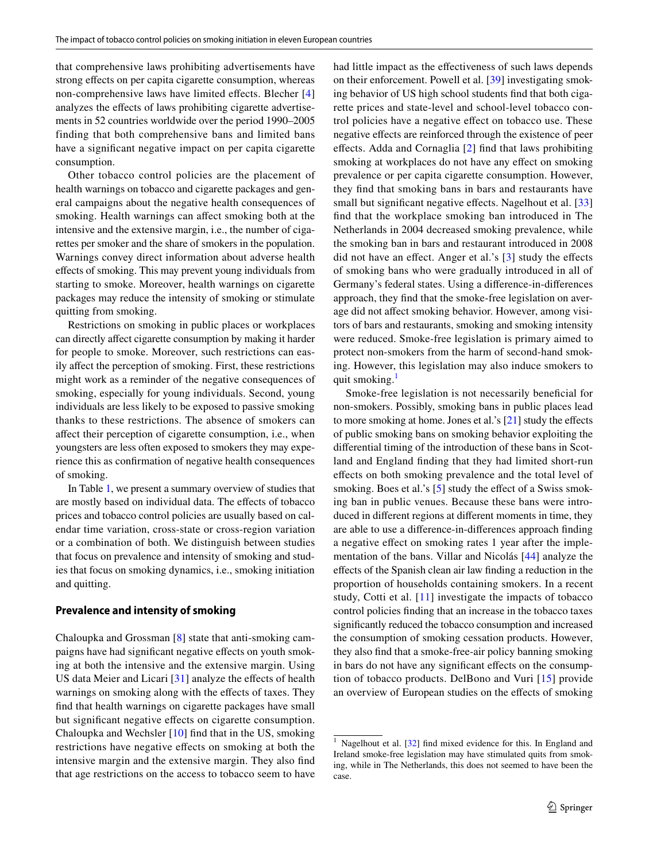that comprehensive laws prohibiting advertisements have strong effects on per capita cigarette consumption, whereas non-comprehensive laws have limited effects. Blecher [[4\]](#page-13-1) analyzes the efects of laws prohibiting cigarette advertisements in 52 countries worldwide over the period 1990–2005 finding that both comprehensive bans and limited bans have a signifcant negative impact on per capita cigarette consumption.

Other tobacco control policies are the placement of health warnings on tobacco and cigarette packages and general campaigns about the negative health consequences of smoking. Health warnings can afect smoking both at the intensive and the extensive margin, i.e., the number of cigarettes per smoker and the share of smokers in the population. Warnings convey direct information about adverse health efects of smoking. This may prevent young individuals from starting to smoke. Moreover, health warnings on cigarette packages may reduce the intensity of smoking or stimulate quitting from smoking.

Restrictions on smoking in public places or workplaces can directly afect cigarette consumption by making it harder for people to smoke. Moreover, such restrictions can easily afect the perception of smoking. First, these restrictions might work as a reminder of the negative consequences of smoking, especially for young individuals. Second, young individuals are less likely to be exposed to passive smoking thanks to these restrictions. The absence of smokers can afect their perception of cigarette consumption, i.e., when youngsters are less often exposed to smokers they may experience this as confrmation of negative health consequences of smoking.

In Table [1,](#page-3-0) we present a summary overview of studies that are mostly based on individual data. The efects of tobacco prices and tobacco control policies are usually based on calendar time variation, cross-state or cross-region variation or a combination of both. We distinguish between studies that focus on prevalence and intensity of smoking and studies that focus on smoking dynamics, i.e., smoking initiation and quitting.

#### **Prevalence and intensity of smoking**

Chaloupka and Grossman [\[8](#page-13-2)] state that anti-smoking campaigns have had significant negative effects on youth smoking at both the intensive and the extensive margin. Using US data Meier and Licari [\[31](#page-14-9)] analyze the effects of health warnings on smoking along with the effects of taxes. They fnd that health warnings on cigarette packages have small but signifcant negative efects on cigarette consumption. Chaloupka and Wechsler [\[10\]](#page-14-10) fnd that in the US, smoking restrictions have negative efects on smoking at both the intensive margin and the extensive margin. They also fnd that age restrictions on the access to tobacco seem to have had little impact as the efectiveness of such laws depends on their enforcement. Powell et al. [[39\]](#page-14-11) investigating smoking behavior of US high school students fnd that both cigarette prices and state-level and school-level tobacco control policies have a negative efect on tobacco use. These negative efects are reinforced through the existence of peer efects. Adda and Cornaglia [\[2\]](#page-13-3) fnd that laws prohibiting smoking at workplaces do not have any effect on smoking prevalence or per capita cigarette consumption. However, they fnd that smoking bans in bars and restaurants have small but significant negative effects. Nagelhout et al. [[33\]](#page-14-12) fnd that the workplace smoking ban introduced in The Netherlands in 2004 decreased smoking prevalence, while the smoking ban in bars and restaurant introduced in 2008 did not have an effect. Anger et al.'s [\[3\]](#page-13-4) study the effects of smoking bans who were gradually introduced in all of Germany's federal states. Using a diference-in-diferences approach, they fnd that the smoke-free legislation on average did not afect smoking behavior. However, among visitors of bars and restaurants, smoking and smoking intensity were reduced. Smoke-free legislation is primary aimed to protect non-smokers from the harm of second-hand smoking. However, this legislation may also induce smokers to quit smoking.<sup>[1](#page-2-0)</sup>

Smoke-free legislation is not necessarily beneficial for non-smokers. Possibly, smoking bans in public places lead to more smoking at home. Jones et al.'s [\[21](#page-14-13)] study the efects of public smoking bans on smoking behavior exploiting the diferential timing of the introduction of these bans in Scotland and England fnding that they had limited short-run efects on both smoking prevalence and the total level of smoking. Boes et al.'s [[5\]](#page-13-5) study the effect of a Swiss smoking ban in public venues. Because these bans were introduced in diferent regions at diferent moments in time, they are able to use a diference-in-diferences approach fnding a negative efect on smoking rates 1 year after the implementation of the bans. Villar and Nicolás [[44\]](#page-14-14) analyze the efects of the Spanish clean air law fnding a reduction in the proportion of households containing smokers. In a recent study, Cotti et al. [[11](#page-14-15)] investigate the impacts of tobacco control policies fnding that an increase in the tobacco taxes signifcantly reduced the tobacco consumption and increased the consumption of smoking cessation products. However, they also fnd that a smoke-free-air policy banning smoking in bars do not have any signifcant efects on the consumption of tobacco products. DelBono and Vuri [\[15\]](#page-14-16) provide an overview of European studies on the efects of smoking

<span id="page-2-0"></span><sup>&</sup>lt;sup>1</sup> Nagelhout et al.  $[32]$  find mixed evidence for this. In England and Ireland smoke-free legislation may have stimulated quits from smoking, while in The Netherlands, this does not seemed to have been the case.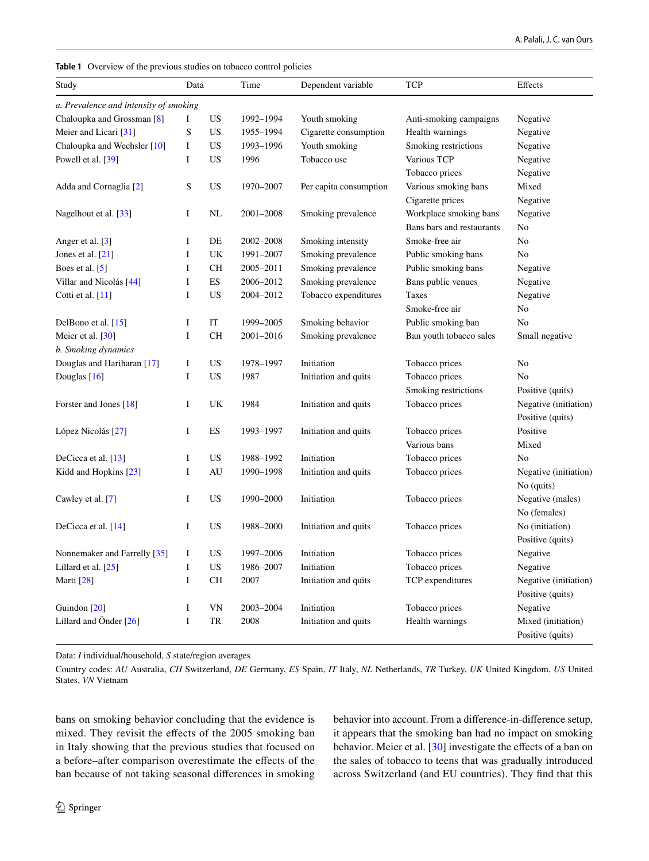<span id="page-3-0"></span>

|  |  |  |  |  |  | <b>Table 1</b> Overview of the previous studies on tobacco control policies |
|--|--|--|--|--|--|-----------------------------------------------------------------------------|
|--|--|--|--|--|--|-----------------------------------------------------------------------------|

| Study                                  | Data        |           | Time      | Dependent variable     | <b>TCP</b>                | Effects               |
|----------------------------------------|-------------|-----------|-----------|------------------------|---------------------------|-----------------------|
| a. Prevalence and intensity of smoking |             |           |           |                        |                           |                       |
| Chaloupka and Grossman [8]             | Ι           | US        | 1992-1994 | Youth smoking          | Anti-smoking campaigns    | Negative              |
| Meier and Licari [31]                  | S           | US        | 1955-1994 | Cigarette consumption  | Health warnings           | Negative              |
| Chaloupka and Wechsler [10]            | $\bf{I}$    | US        | 1993-1996 | Youth smoking          | Smoking restrictions      | Negative              |
| Powell et al. [39]                     | $\bf I$     | <b>US</b> | 1996      | Tobacco use            | Various TCP               | Negative              |
|                                        |             |           |           |                        | Tobacco prices            | Negative              |
| Adda and Cornaglia [2]                 | S           | <b>US</b> | 1970-2007 | Per capita consumption | Various smoking bans      | Mixed                 |
|                                        |             |           |           |                        | Cigarette prices          | Negative              |
| Nagelhout et al. [33]                  | $\bf I$     | NL        | 2001-2008 | Smoking prevalence     | Workplace smoking bans    | Negative              |
|                                        |             |           |           |                        | Bans bars and restaurants | No                    |
| Anger et al. [3]                       | I           | DE        | 2002-2008 | Smoking intensity      | Smoke-free air            | No                    |
| Jones et al. $[21]$                    | $\mathbf I$ | UK        | 1991-2007 | Smoking prevalence     | Public smoking bans       | N <sub>0</sub>        |
| Boes et al. [5]                        | Ι           | <b>CH</b> | 2005-2011 | Smoking prevalence     | Public smoking bans       | Negative              |
| Villar and Nicolás [44]                | $\bf I$     | ES        | 2006-2012 | Smoking prevalence     | Bans public venues        | Negative              |
| Cotti et al. $[11]$                    | I           | <b>US</b> | 2004-2012 | Tobacco expenditures   | Taxes                     | Negative              |
|                                        |             |           |           |                        | Smoke-free air            | No                    |
| DelBono et al. $[15]$                  | Ι           | IT        | 1999-2005 | Smoking behavior       | Public smoking ban        | N <sub>o</sub>        |
| Meier et al. [30]                      | $\bf{I}$    | <b>CH</b> | 2001-2016 | Smoking prevalence     | Ban youth tobacco sales   | Small negative        |
| b. Smoking dynamics                    |             |           |           |                        |                           |                       |
| Douglas and Hariharan [17]             | $\bf{I}$    | <b>US</b> | 1978-1997 | Initiation             | Tobacco prices            | N <sub>0</sub>        |
| Douglas $[16]$                         | I           | US        | 1987      | Initiation and quits   | Tobacco prices            | No                    |
|                                        |             |           |           |                        | Smoking restrictions      | Positive (quits)      |
| Forster and Jones [18]                 | I           | UK        | 1984      | Initiation and quits   | Tobacco prices            | Negative (initiation) |
|                                        |             |           |           |                        |                           | Positive (quits)      |
| López Nicolás [27]                     | Ι           | ES        | 1993-1997 | Initiation and quits   | Tobacco prices            | Positive              |
|                                        |             |           |           |                        | Various bans              | Mixed                 |
| DeCicca et al. [13]                    | I           | US.       | 1988-1992 | Initiation             | Tobacco prices            | No                    |
| Kidd and Hopkins [23]                  | $\bf{I}$    | AU        | 1990-1998 | Initiation and quits   | Tobacco prices            | Negative (initiation) |
|                                        |             |           |           |                        |                           | No (quits)            |
| Cawley et al. [7]                      | $\bf{I}$    | <b>US</b> | 1990-2000 | Initiation             | Tobacco prices            | Negative (males)      |
|                                        |             |           |           |                        |                           | No (females)          |
| DeCicca et al. [14]                    | I           | <b>US</b> | 1988-2000 | Initiation and quits   | Tobacco prices            | No (initiation)       |
|                                        |             |           |           |                        |                           | Positive (quits)      |
| Nonnemaker and Farrelly [35]           | $\bf{I}$    | <b>US</b> | 1997-2006 | Initiation             | Tobacco prices            | Negative              |
| Lillard et al. $[25]$                  | $\bf{I}$    | <b>US</b> | 1986-2007 | Initiation             | Tobacco prices            | Negative              |
| Marti [28]                             | $\bf{I}$    | <b>CH</b> | 2007      | Initiation and quits   | TCP expenditures          | Negative (initiation) |
|                                        |             |           |           |                        |                           | Positive (quits)      |
| Guindon [20]                           | Ι           | VN        | 2003-2004 | Initiation             | Tobacco prices            | Negative              |
| Lillard and Önder $[26]$               | I           | <b>TR</b> | 2008      | Initiation and quits   | Health warnings           | Mixed (initiation)    |
|                                        |             |           |           |                        |                           | Positive (quits)      |

Data: *I* individual/household, *S* state/region averages

Country codes: *AU* Australia, *CH* Switzerland, *DE* Germany, *ES* Spain, *IT* Italy, *NL* Netherlands, *TR* Turkey, *UK* United Kingdom, *US* United States, *VN* Vietnam

bans on smoking behavior concluding that the evidence is mixed. They revisit the efects of the 2005 smoking ban in Italy showing that the previous studies that focused on a before–after comparison overestimate the efects of the ban because of not taking seasonal diferences in smoking behavior into account. From a diference-in-diference setup, it appears that the smoking ban had no impact on smoking behavior. Meier et al. [\[30](#page-14-18)] investigate the effects of a ban on the sales of tobacco to teens that was gradually introduced across Switzerland (and EU countries). They fnd that this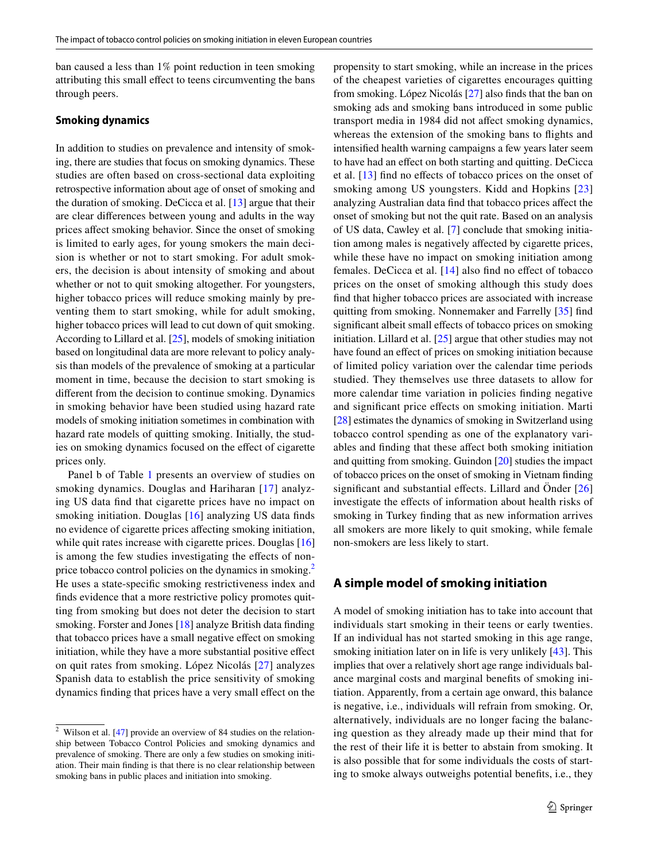ban caused a less than 1% point reduction in teen smoking attributing this small efect to teens circumventing the bans through peers.

#### **Smoking dynamics**

In addition to studies on prevalence and intensity of smoking, there are studies that focus on smoking dynamics. These studies are often based on cross-sectional data exploiting retrospective information about age of onset of smoking and the duration of smoking. DeCicca et al. [\[13](#page-14-23)] argue that their are clear diferences between young and adults in the way prices afect smoking behavior. Since the onset of smoking is limited to early ages, for young smokers the main decision is whether or not to start smoking. For adult smokers, the decision is about intensity of smoking and about whether or not to quit smoking altogether. For youngsters, higher tobacco prices will reduce smoking mainly by preventing them to start smoking, while for adult smoking, higher tobacco prices will lead to cut down of quit smoking. According to Lillard et al. [\[25\]](#page-14-27), models of smoking initiation based on longitudinal data are more relevant to policy analysis than models of the prevalence of smoking at a particular moment in time, because the decision to start smoking is diferent from the decision to continue smoking. Dynamics in smoking behavior have been studied using hazard rate models of smoking initiation sometimes in combination with hazard rate models of quitting smoking. Initially, the studies on smoking dynamics focused on the efect of cigarette prices only.

Panel b of Table [1](#page-3-0) presents an overview of studies on smoking dynamics. Douglas and Hariharan [\[17\]](#page-14-19) analyzing US data fnd that cigarette prices have no impact on smoking initiation. Douglas [\[16\]](#page-14-20) analyzing US data finds no evidence of cigarette prices afecting smoking initiation, while quit rates increase with cigarette prices. Douglas [[16\]](#page-14-20) is among the few studies investigating the efects of non-price tobacco control policies on the dynamics in smoking.<sup>[2](#page-4-1)</sup> He uses a state-specifc smoking restrictiveness index and fnds evidence that a more restrictive policy promotes quitting from smoking but does not deter the decision to start smoking. Forster and Jones [\[18](#page-14-21)] analyze British data fnding that tobacco prices have a small negative efect on smoking initiation, while they have a more substantial positive efect on quit rates from smoking. López Nicolás [[27](#page-14-22)] analyzes Spanish data to establish the price sensitivity of smoking dynamics finding that prices have a very small effect on the propensity to start smoking, while an increase in the prices of the cheapest varieties of cigarettes encourages quitting from smoking. López Nicolás [\[27](#page-14-22)] also fnds that the ban on smoking ads and smoking bans introduced in some public transport media in 1984 did not afect smoking dynamics, whereas the extension of the smoking bans to fights and intensifed health warning campaigns a few years later seem to have had an efect on both starting and quitting. DeCicca et al. [\[13\]](#page-14-23) fnd no efects of tobacco prices on the onset of smoking among US youngsters. Kidd and Hopkins [\[23](#page-14-24)] analyzing Australian data fnd that tobacco prices afect the onset of smoking but not the quit rate. Based on an analysis of US data, Cawley et al. [[7](#page-13-6)] conclude that smoking initiation among males is negatively afected by cigarette prices, while these have no impact on smoking initiation among females. DeCicca et al. [[14\]](#page-14-25) also fnd no efect of tobacco prices on the onset of smoking although this study does fnd that higher tobacco prices are associated with increase quitting from smoking. Nonnemaker and Farrelly [\[35\]](#page-14-26) fnd significant albeit small effects of tobacco prices on smoking initiation. Lillard et al. [[25\]](#page-14-27) argue that other studies may not have found an effect of prices on smoking initiation because of limited policy variation over the calendar time periods studied. They themselves use three datasets to allow for more calendar time variation in policies fnding negative and signifcant price efects on smoking initiation. Marti [\[28](#page-14-28)] estimates the dynamics of smoking in Switzerland using tobacco control spending as one of the explanatory variables and fnding that these afect both smoking initiation and quitting from smoking. Guindon [\[20](#page-14-29)] studies the impact of tobacco prices on the onset of smoking in Vietnam fnding significant and substantial effects. Lillard and Önder [[26](#page-14-30)] investigate the efects of information about health risks of smoking in Turkey fnding that as new information arrives all smokers are more likely to quit smoking, while female non-smokers are less likely to start.

## <span id="page-4-0"></span>**A simple model of smoking initiation**

A model of smoking initiation has to take into account that individuals start smoking in their teens or early twenties. If an individual has not started smoking in this age range, smoking initiation later on in life is very unlikely [[43\]](#page-14-3). This implies that over a relatively short age range individuals balance marginal costs and marginal benefts of smoking initiation. Apparently, from a certain age onward, this balance is negative, i.e., individuals will refrain from smoking. Or, alternatively, individuals are no longer facing the balancing question as they already made up their mind that for the rest of their life it is better to abstain from smoking. It is also possible that for some individuals the costs of starting to smoke always outweighs potential benefts, i.e., they

<span id="page-4-1"></span> $2$  Wilson et al. [\[47\]](#page-14-31) provide an overview of 84 studies on the relationship between Tobacco Control Policies and smoking dynamics and prevalence of smoking. There are only a few studies on smoking initiation. Their main fnding is that there is no clear relationship between smoking bans in public places and initiation into smoking.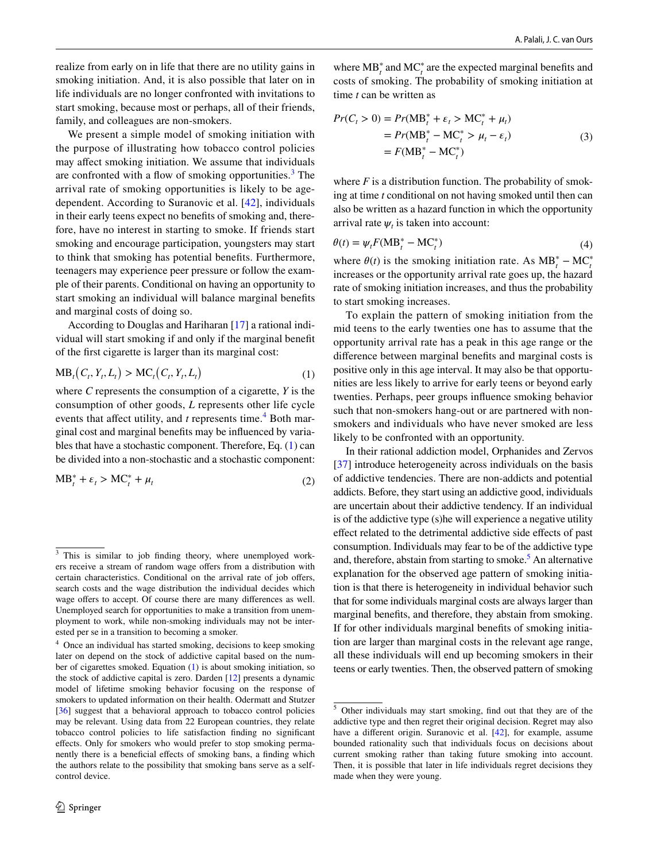realize from early on in life that there are no utility gains in smoking initiation. And, it is also possible that later on in life individuals are no longer confronted with invitations to start smoking, because most or perhaps, all of their friends, family, and colleagues are non-smokers.

We present a simple model of smoking initiation with the purpose of illustrating how tobacco control policies may afect smoking initiation. We assume that individuals are confronted with a flow of smoking opportunities.<sup>[3](#page-5-0)</sup> The arrival rate of smoking opportunities is likely to be agedependent. According to Suranovic et al. [[42\]](#page-14-32), individuals in their early teens expect no benefts of smoking and, therefore, have no interest in starting to smoke. If friends start smoking and encourage participation, youngsters may start to think that smoking has potential benefts. Furthermore, teenagers may experience peer pressure or follow the example of their parents. Conditional on having an opportunity to start smoking an individual will balance marginal benefts and marginal costs of doing so.

According to Douglas and Hariharan [\[17](#page-14-19)] a rational individual will start smoking if and only if the marginal beneft of the frst cigarette is larger than its marginal cost:

$$
MB_t(C_t, Y_t, L_t) > MC_t(C_t, Y_t, L_t)
$$
\n
$$
(1)
$$

where *C* represents the consumption of a cigarette, *Y* is the consumption of other goods, *L* represents other life cycle events that affect utility, and *t* represents time.<sup>[4](#page-5-1)</sup> Both marginal cost and marginal benefts may be infuenced by variables that have a stochastic component. Therefore, Eq. ([1\)](#page-5-2) can be divided into a non-stochastic and a stochastic component:

$$
MB_t^* + \varepsilon_t > MC_t^* + \mu_t \tag{2}
$$

where  $\text{MB}_t^*$  and  $\text{MC}_t^*$  are the expected marginal benefits and costs of smoking. The probability of smoking initiation at time *t* can be written as

$$
Pr(C_t > 0) = Pr(\text{MB}_t^* + \varepsilon_t > \text{MC}_t^* + \mu_t)
$$
  
= Pr(\text{MB}\_t^\* - \text{MC}\_t^\* > \mu\_t - \varepsilon\_t)  
= F(\text{MB}\_t^\* - \text{MC}\_t^\*) (3)

where  $F$  is a distribution function. The probability of smoking at time *t* conditional on not having smoked until then can also be written as a hazard function in which the opportunity arrival rate  $\psi_t$  is taken into account:

$$
\theta(t) = \psi_t F(MB_t^* - MC_t^*)
$$
\n(4)

where  $\theta(t)$  is the smoking initiation rate. As  $MB_t^* - MC_t^*$ increases or the opportunity arrival rate goes up, the hazard rate of smoking initiation increases, and thus the probability to start smoking increases.

<span id="page-5-2"></span>To explain the pattern of smoking initiation from the mid teens to the early twenties one has to assume that the opportunity arrival rate has a peak in this age range or the diference between marginal benefts and marginal costs is positive only in this age interval. It may also be that opportunities are less likely to arrive for early teens or beyond early twenties. Perhaps, peer groups infuence smoking behavior such that non-smokers hang-out or are partnered with nonsmokers and individuals who have never smoked are less likely to be confronted with an opportunity.

In their rational addiction model, Orphanides and Zervos [\[37](#page-14-33)] introduce heterogeneity across individuals on the basis of addictive tendencies. There are non-addicts and potential addicts. Before, they start using an addictive good, individuals are uncertain about their addictive tendency. If an individual is of the addictive type (s)he will experience a negative utility efect related to the detrimental addictive side efects of past consumption. Individuals may fear to be of the addictive type and, therefore, abstain from starting to smoke.<sup>[5](#page-5-3)</sup> An alternative explanation for the observed age pattern of smoking initiation is that there is heterogeneity in individual behavior such that for some individuals marginal costs are always larger than marginal benefts, and therefore, they abstain from smoking. If for other individuals marginal benefts of smoking initiation are larger than marginal costs in the relevant age range, all these individuals will end up becoming smokers in their teens or early twenties. Then, the observed pattern of smoking

<span id="page-5-0"></span><sup>&</sup>lt;sup>3</sup> This is similar to job finding theory, where unemployed workers receive a stream of random wage offers from a distribution with certain characteristics. Conditional on the arrival rate of job ofers, search costs and the wage distribution the individual decides which wage offers to accept. Of course there are many differences as well. Unemployed search for opportunities to make a transition from unemployment to work, while non-smoking individuals may not be interested per se in a transition to becoming a smoker.

<span id="page-5-1"></span><sup>&</sup>lt;sup>4</sup> Once an individual has started smoking, decisions to keep smoking later on depend on the stock of addictive capital based on the number of cigarettes smoked. Equation ([1\)](#page-5-2) is about smoking initiation, so the stock of addictive capital is zero. Darden [[12](#page-14-34)] presents a dynamic model of lifetime smoking behavior focusing on the response of smokers to updated information on their health. Odermatt and Stutzer [[36](#page-14-35)] suggest that a behavioral approach to tobacco control policies may be relevant. Using data from 22 European countries, they relate tobacco control policies to life satisfaction fnding no signifcant efects. Only for smokers who would prefer to stop smoking permanently there is a beneficial effects of smoking bans, a finding which the authors relate to the possibility that smoking bans serve as a selfcontrol device.

<span id="page-5-3"></span><sup>5</sup> Other individuals may start smoking, fnd out that they are of the addictive type and then regret their original decision. Regret may also have a different origin. Suranovic et al. [\[42\]](#page-14-32), for example, assume bounded rationality such that individuals focus on decisions about current smoking rather than taking future smoking into account. Then, it is possible that later in life individuals regret decisions they made when they were young.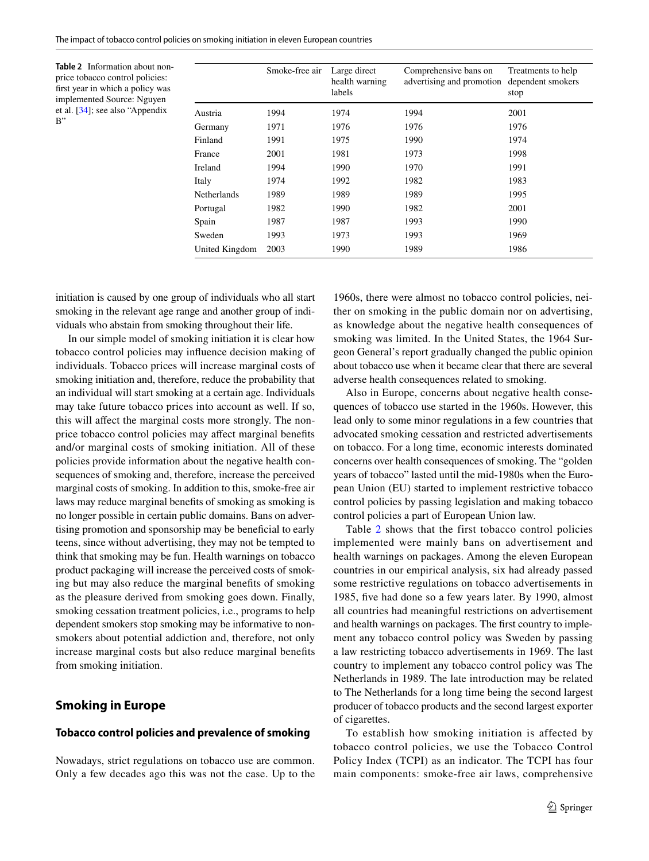<span id="page-6-1"></span>**Table 2** Information about nonprice tobacco control policies: frst year in which a policy was implemented Source: Nguyen et al. [\[34\]](#page-14-36); see also "Appendix B"

|                    | Smoke-free air | Large direct<br>health warning<br>labels | Comprehensive bans on<br>advertising and promotion | Treatments to help<br>dependent smokers<br>stop |
|--------------------|----------------|------------------------------------------|----------------------------------------------------|-------------------------------------------------|
| Austria            | 1994           | 1974                                     | 1994                                               | 2001                                            |
| Germany            | 1971           | 1976                                     | 1976                                               | 1976                                            |
| Finland            | 1991           | 1975                                     | 1990                                               | 1974                                            |
| France             | 2001           | 1981                                     | 1973                                               | 1998                                            |
| <b>Ireland</b>     | 1994           | 1990                                     | 1970                                               | 1991                                            |
| Italy              | 1974           | 1992                                     | 1982                                               | 1983                                            |
| <b>Netherlands</b> | 1989           | 1989                                     | 1989                                               | 1995                                            |
| Portugal           | 1982           | 1990                                     | 1982                                               | 2001                                            |
| Spain              | 1987           | 1987                                     | 1993                                               | 1990                                            |
| Sweden             | 1993           | 1973                                     | 1993                                               | 1969                                            |
| United Kingdom     | 2003           | 1990                                     | 1989                                               | 1986                                            |

initiation is caused by one group of individuals who all start smoking in the relevant age range and another group of individuals who abstain from smoking throughout their life.

In our simple model of smoking initiation it is clear how tobacco control policies may infuence decision making of individuals. Tobacco prices will increase marginal costs of smoking initiation and, therefore, reduce the probability that an individual will start smoking at a certain age. Individuals may take future tobacco prices into account as well. If so, this will afect the marginal costs more strongly. The nonprice tobacco control policies may afect marginal benefts and/or marginal costs of smoking initiation. All of these policies provide information about the negative health consequences of smoking and, therefore, increase the perceived marginal costs of smoking. In addition to this, smoke-free air laws may reduce marginal benefts of smoking as smoking is no longer possible in certain public domains. Bans on advertising promotion and sponsorship may be benefcial to early teens, since without advertising, they may not be tempted to think that smoking may be fun. Health warnings on tobacco product packaging will increase the perceived costs of smoking but may also reduce the marginal benefts of smoking as the pleasure derived from smoking goes down. Finally, smoking cessation treatment policies, i.e., programs to help dependent smokers stop smoking may be informative to nonsmokers about potential addiction and, therefore, not only increase marginal costs but also reduce marginal benefts from smoking initiation.

## <span id="page-6-0"></span>**Smoking in Europe**

#### **Tobacco control policies and prevalence of smoking**

Nowadays, strict regulations on tobacco use are common. Only a few decades ago this was not the case. Up to the

1960s, there were almost no tobacco control policies, neither on smoking in the public domain nor on advertising, as knowledge about the negative health consequences of smoking was limited. In the United States, the 1964 Surgeon General's report gradually changed the public opinion about tobacco use when it became clear that there are several adverse health consequences related to smoking.

Also in Europe, concerns about negative health consequences of tobacco use started in the 1960s. However, this lead only to some minor regulations in a few countries that advocated smoking cessation and restricted advertisements on tobacco. For a long time, economic interests dominated concerns over health consequences of smoking. The "golden years of tobacco" lasted until the mid-1980s when the European Union (EU) started to implement restrictive tobacco control policies by passing legislation and making tobacco control policies a part of European Union law.

Table [2](#page-6-1) shows that the first tobacco control policies implemented were mainly bans on advertisement and health warnings on packages. Among the eleven European countries in our empirical analysis, six had already passed some restrictive regulations on tobacco advertisements in 1985, fve had done so a few years later. By 1990, almost all countries had meaningful restrictions on advertisement and health warnings on packages. The frst country to implement any tobacco control policy was Sweden by passing a law restricting tobacco advertisements in 1969. The last country to implement any tobacco control policy was The Netherlands in 1989. The late introduction may be related to The Netherlands for a long time being the second largest producer of tobacco products and the second largest exporter of cigarettes.

To establish how smoking initiation is affected by tobacco control policies, we use the Tobacco Control Policy Index (TCPI) as an indicator. The TCPI has four main components: smoke-free air laws, comprehensive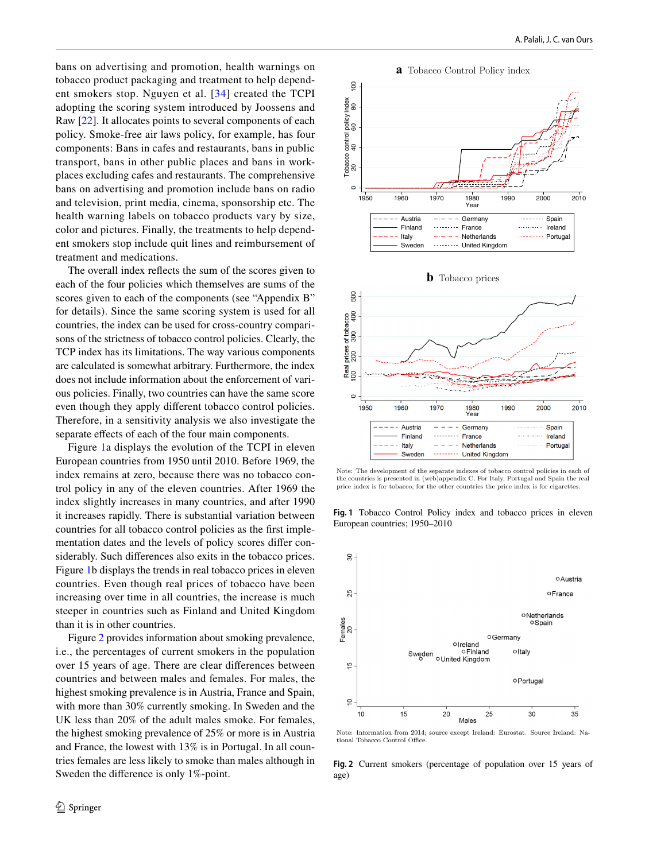bans on advertising and promotion, health warnings on tobacco product packaging and treatment to help dependent smokers stop. Nguyen et al. [[34\]](#page-14-36) created the TCPI adopting the scoring system introduced by Joossens and Raw [[22](#page-14-37)]. It allocates points to several components of each policy. Smoke-free air laws policy, for example, has four components: Bans in cafes and restaurants, bans in public transport, bans in other public places and bans in workplaces excluding cafes and restaurants. The comprehensive bans on advertising and promotion include bans on radio and television, print media, cinema, sponsorship etc. The health warning labels on tobacco products vary by size, color and pictures. Finally, the treatments to help dependent smokers stop include quit lines and reimbursement of treatment and medications.

The overall index refects the sum of the scores given to each of the four policies which themselves are sums of the scores given to each of the components (see "Appendix B" for details). Since the same scoring system is used for all countries, the index can be used for cross-country comparisons of the strictness of tobacco control policies. Clearly, the TCP index has its limitations. The way various components are calculated is somewhat arbitrary. Furthermore, the index does not include information about the enforcement of various policies. Finally, two countries can have the same score even though they apply diferent tobacco control policies. Therefore, in a sensitivity analysis we also investigate the separate efects of each of the four main components.

Figure [1](#page-7-0)a displays the evolution of the TCPI in eleven European countries from 1950 until 2010. Before 1969, the index remains at zero, because there was no tobacco control policy in any of the eleven countries. After 1969 the index slightly increases in many countries, and after 1990 it increases rapidly. There is substantial variation between countries for all tobacco control policies as the frst implementation dates and the levels of policy scores difer considerably. Such diferences also exits in the tobacco prices. Figure [1](#page-7-0)b displays the trends in real tobacco prices in eleven countries. Even though real prices of tobacco have been increasing over time in all countries, the increase is much steeper in countries such as Finland and United Kingdom than it is in other countries.

Figure [2](#page-7-1) provides information about smoking prevalence, i.e., the percentages of current smokers in the population over 15 years of age. There are clear diferences between countries and between males and females. For males, the highest smoking prevalence is in Austria, France and Spain, with more than 30% currently smoking. In Sweden and the UK less than 20% of the adult males smoke. For females, the highest smoking prevalence of 25% or more is in Austria and France, the lowest with 13% is in Portugal. In all countries females are less likely to smoke than males although in Sweden the diference is only 1%-point.

**a** Tobacco Control Policy index





Note: The development of the separate indexes of tobacco control policies in each of the countries is presented in (web)appendix C. For Italy, Portugal and Spain the real price index is for tobacco, for the other countries the price index is for cigarettes.

<span id="page-7-0"></span>**Fig. 1** Tobacco Control Policy index and tobacco prices in eleven European countries; 1950–2010



Note: Intormation from 2014; source except Ireland: Eurostat. Source Ireland: National Tobacco Control Office

<span id="page-7-1"></span>**Fig. 2** Current smokers (percentage of population over 15 years of age)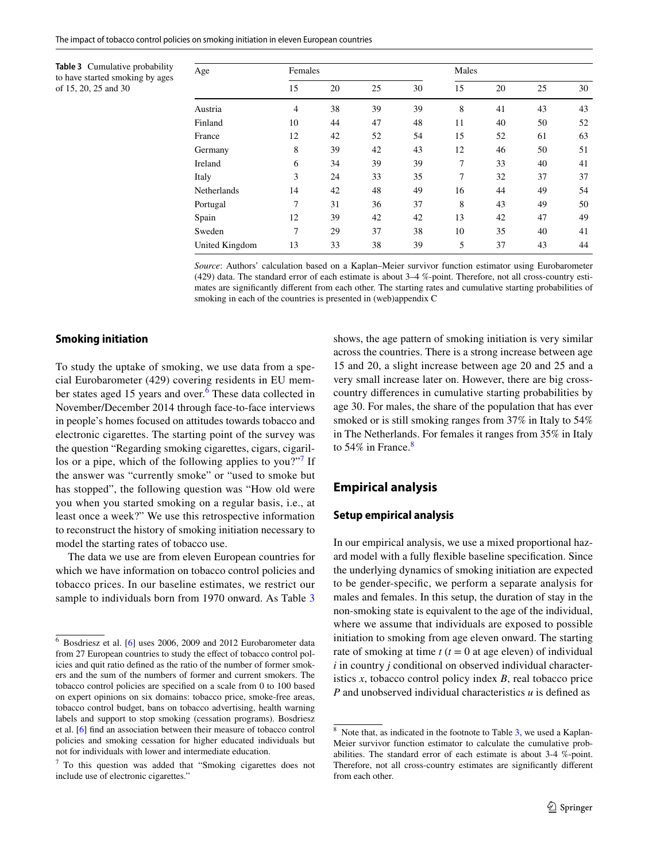<span id="page-8-3"></span>**Table 3** Cumulative probability to have started smoking by ages of 15, 20, 25 and 30

| Age                | Females        |    |    | Males |    |    |    |    |
|--------------------|----------------|----|----|-------|----|----|----|----|
|                    | 15             | 20 | 25 | 30    | 15 | 20 | 25 | 30 |
| Austria            | $\overline{4}$ | 38 | 39 | 39    | 8  | 41 | 43 | 43 |
| Finland            | 10             | 44 | 47 | 48    | 11 | 40 | 50 | 52 |
| France             | 12             | 42 | 52 | 54    | 15 | 52 | 61 | 63 |
| Germany            | 8              | 39 | 42 | 43    | 12 | 46 | 50 | 51 |
| Ireland            | 6              | 34 | 39 | 39    | 7  | 33 | 40 | 41 |
| Italy              | 3              | 24 | 33 | 35    | 7  | 32 | 37 | 37 |
| <b>Netherlands</b> | 14             | 42 | 48 | 49    | 16 | 44 | 49 | 54 |
| Portugal           | 7              | 31 | 36 | 37    | 8  | 43 | 49 | 50 |
| Spain              | 12             | 39 | 42 | 42    | 13 | 42 | 47 | 49 |
| Sweden             | 7              | 29 | 37 | 38    | 10 | 35 | 40 | 41 |
| United Kingdom     | 13             | 33 | 38 | 39    | 5  | 37 | 43 | 44 |

*Source*: Authors' calculation based on a Kaplan–Meier survivor function estimator using Eurobarometer (429) data. The standard error of each estimate is about 3–4 %-point. Therefore, not all cross-country estimates are signifcantly diferent from each other. The starting rates and cumulative starting probabilities of smoking in each of the countries is presented in (web)appendix C

## **Smoking initiation**

To study the uptake of smoking, we use data from a special Eurobarometer (429) covering residents in EU mem-ber states aged 15 years and over.<sup>[6](#page-8-1)</sup> These data collected in November/December 2014 through face-to-face interviews in people's homes focused on attitudes towards tobacco and electronic cigarettes. The starting point of the survey was the question "Regarding smoking cigarettes, cigars, cigaril-los or a pipe, which of the following applies to you?"<sup>[7](#page-8-2)</sup> If the answer was "currently smoke" or "used to smoke but has stopped", the following question was "How old were you when you started smoking on a regular basis, i.e., at least once a week?" We use this retrospective information to reconstruct the history of smoking initiation necessary to model the starting rates of tobacco use.

The data we use are from eleven European countries for which we have information on tobacco control policies and tobacco prices. In our baseline estimates, we restrict our sample to individuals born from 1970 onward. As Table [3](#page-8-3)

shows, the age pattern of smoking initiation is very similar across the countries. There is a strong increase between age 15 and 20, a slight increase between age 20 and 25 and a very small increase later on. However, there are big crosscountry diferences in cumulative starting probabilities by age 30. For males, the share of the population that has ever smoked or is still smoking ranges from 37% in Italy to 54% in The Netherlands. For females it ranges from 35% in Italy to 54% in France. $8$ 

# <span id="page-8-0"></span>**Empirical analysis**

## **Setup empirical analysis**

In our empirical analysis, we use a mixed proportional hazard model with a fully fexible baseline specifcation. Since the underlying dynamics of smoking initiation are expected to be gender-specifc, we perform a separate analysis for males and females. In this setup, the duration of stay in the non-smoking state is equivalent to the age of the individual, where we assume that individuals are exposed to possible initiation to smoking from age eleven onward. The starting rate of smoking at time  $t$  ( $t = 0$  at age eleven) of individual *i* in country *j* conditional on observed individual characteristics *x*, tobacco control policy index *B*, real tobacco price *P* and unobserved individual characteristics *u* is defned as

<span id="page-8-1"></span><sup>6</sup> Bosdriesz et al. [\[6\]](#page-13-7) uses 2006, 2009 and 2012 Eurobarometer data from 27 European countries to study the efect of tobacco control policies and quit ratio defned as the ratio of the number of former smokers and the sum of the numbers of former and current smokers. The tobacco control policies are specifed on a scale from 0 to 100 based on expert opinions on six domains: tobacco price, smoke-free areas, tobacco control budget, bans on tobacco advertising, health warning labels and support to stop smoking (cessation programs). Bosdriesz et al. [[6](#page-13-7)] fnd an association between their measure of tobacco control policies and smoking cessation for higher educated individuals but not for individuals with lower and intermediate education.

<span id="page-8-2"></span> $7$  To this question was added that "Smoking cigarettes does not include use of electronic cigarettes."

<span id="page-8-4"></span><sup>&</sup>lt;sup>8</sup> Note that, as indicated in the footnote to Table [3](#page-8-3), we used a Kaplan-Meier survivor function estimator to calculate the cumulative probabilities. The standard error of each estimate is about 3-4 %-point. Therefore, not all cross-country estimates are signifcantly diferent from each other.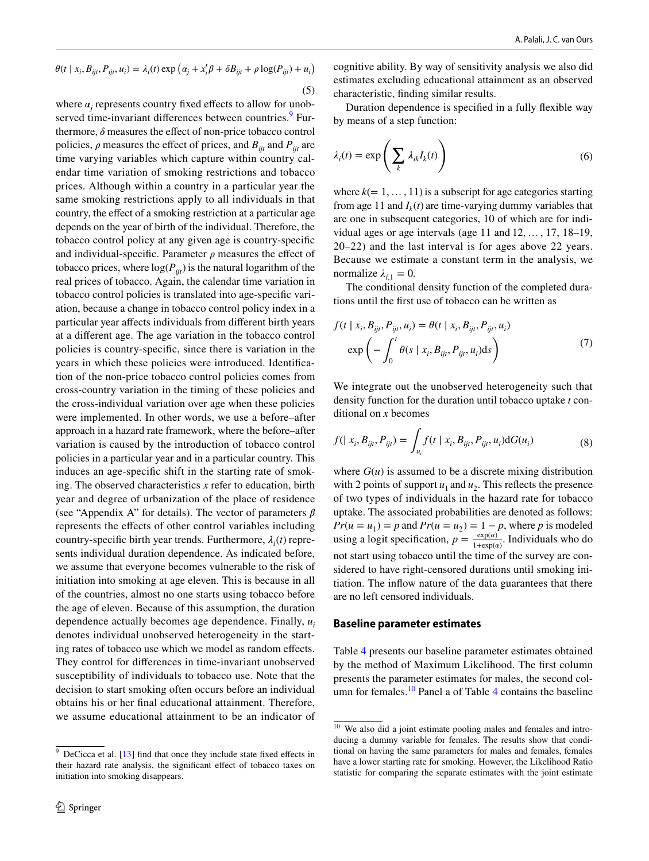$$
\theta(t \mid x_i, B_{ijt}, P_{ijt}, u_i) = \lambda_i(t) \exp \left( \alpha_j + x_i' \beta + \delta B_{ijt} + \rho \log(P_{ijt}) + u_i \right)
$$
\n(5)

where  $\alpha_j$  represents country fixed effects to allow for unob-served time-invariant differences between countries.<sup>[9](#page-9-0)</sup> Furthermore,  $\delta$  measures the effect of non-price tobacco control policies,  $\rho$  measures the effect of prices, and  $B_{ijt}$  and  $P_{ijt}$  are time varying variables which capture within country calendar time variation of smoking restrictions and tobacco prices. Although within a country in a particular year the same smoking restrictions apply to all individuals in that country, the effect of a smoking restriction at a particular age depends on the year of birth of the individual. Therefore, the tobacco control policy at any given age is country-specifc and individual-specific. Parameter  $\rho$  measures the effect of tobacco prices, where  $log(P_{ijt})$  is the natural logarithm of the real prices of tobacco. Again, the calendar time variation in tobacco control policies is translated into age-specifc variation, because a change in tobacco control policy index in a particular year afects individuals from diferent birth years at a diferent age. The age variation in the tobacco control policies is country-specifc, since there is variation in the years in which these policies were introduced. Identifcation of the non-price tobacco control policies comes from cross-country variation in the timing of these policies and the cross-individual variation over age when these policies were implemented. In other words, we use a before–after approach in a hazard rate framework, where the before–after variation is caused by the introduction of tobacco control policies in a particular year and in a particular country. This induces an age-specifc shift in the starting rate of smoking. The observed characteristics *x* refer to education, birth year and degree of urbanization of the place of residence (see "Appendix A" for details). The vector of parameters  $\beta$ represents the efects of other control variables including country-specific birth year trends. Furthermore,  $\lambda_i(t)$  represents individual duration dependence. As indicated before, we assume that everyone becomes vulnerable to the risk of initiation into smoking at age eleven. This is because in all of the countries, almost no one starts using tobacco before the age of eleven. Because of this assumption, the duration dependence actually becomes age dependence. Finally, *ui* denotes individual unobserved heterogeneity in the starting rates of tobacco use which we model as random efects. They control for diferences in time-invariant unobserved susceptibility of individuals to tobacco use. Note that the decision to start smoking often occurs before an individual obtains his or her fnal educational attainment. Therefore, we assume educational attainment to be an indicator of ) cognitive ability. By way of sensitivity analysis we also did estimates excluding educational attainment as an observed characteristic, fnding similar results.

Duration dependence is specifed in a fully fexible way by means of a step function:

$$
\lambda_i(t) = \exp\left(\sum_k \lambda_{ik} I_k(t)\right) \tag{6}
$$

where  $k(= 1, \ldots, 11)$  is a subscript for age categories starting from age 11 and  $I_k(t)$  are time-varying dummy variables that are one in subsequent categories, 10 of which are for individual ages or age intervals (age 11 and 12, …, 17, 18–19, 20–22) and the last interval is for ages above 22 years. Because we estimate a constant term in the analysis, we normalize  $\lambda_{i,1} = 0$ .

The conditional density function of the completed durations until the frst use of tobacco can be written as

$$
f(t \mid x_i, B_{ijt}, P_{ijt}, u_i) = \theta(t \mid x_i, B_{ijt}, P_{ijt}, u_i)
$$

$$
\exp\left(-\int_0^t \theta(s \mid x_i, B_{ijt}, P_{ijt}, u_i) \, ds\right) \tag{7}
$$

We integrate out the unobserved heterogeneity such that density function for the duration until tobacco uptake *t* conditional on *x* becomes

$$
f(|x_i, B_{ijt}, P_{ijt}) = \int_{u_i} f(t | x_i, B_{ijt}, P_{ijt}, u_i) dG(u_i)
$$
 (8)

where  $G(u)$  is assumed to be a discrete mixing distribution with 2 points of support  $u_1$  and  $u_2$ . This reflects the presence of two types of individuals in the hazard rate for tobacco uptake. The associated probabilities are denoted as follows:  $Pr(u = u_1) = p$  and  $Pr(u = u_2) = 1 - p$ , where *p* is modeled using a logit specification,  $p = \frac{\exp(a)}{1+\exp(a)}$ . Individuals who do not start using tobacco until the time of the survey are considered to have right-censored durations until smoking initiation. The infow nature of the data guarantees that there are no left censored individuals.

#### **Baseline parameter estimates**

Table [4](#page-10-0) presents our baseline parameter estimates obtained by the method of Maximum Likelihood. The frst column presents the parameter estimates for males, the second col-umn for females.<sup>[10](#page-9-1)</sup> Panel a of Table [4](#page-10-0) contains the baseline

<span id="page-9-0"></span> $9$  DeCicca et al. [\[13\]](#page-14-23) find that once they include state fixed effects in their hazard rate analysis, the signifcant efect of tobacco taxes on initiation into smoking disappears.

<span id="page-9-1"></span> $10$  We also did a joint estimate pooling males and females and introducing a dummy variable for females. The results show that conditional on having the same parameters for males and females, females have a lower starting rate for smoking. However, the Likelihood Ratio statistic for comparing the separate estimates with the joint estimate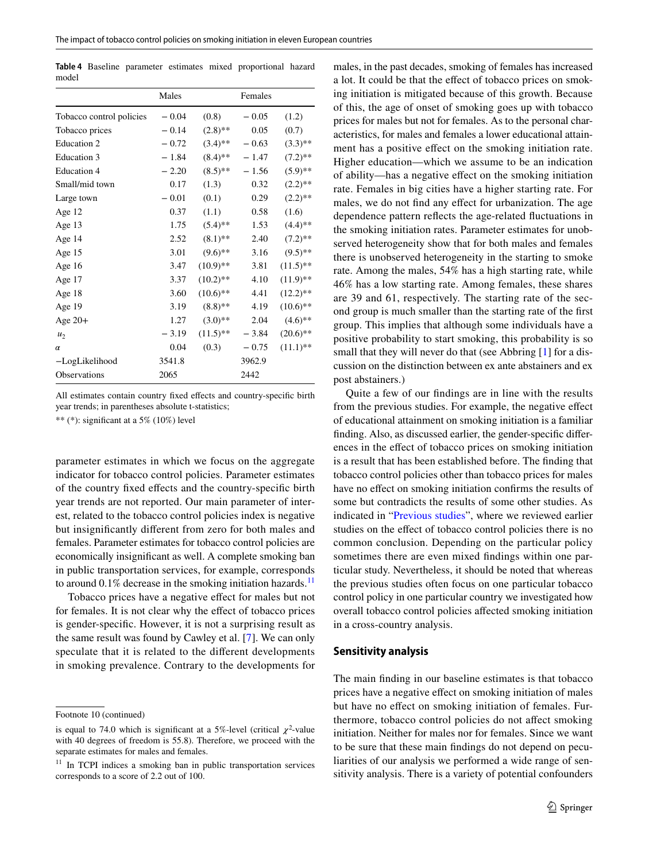<span id="page-10-0"></span>**Table 4** Baseline parameter estimates mixed proportional hazard model

|                          | Males   |             | Females |             |
|--------------------------|---------|-------------|---------|-------------|
| Tobacco control policies | $-0.04$ | (0.8)       | $-0.05$ | (1.2)       |
| Tobacco prices           | $-0.14$ | $(2.8)$ **  | 0.05    | (0.7)       |
| <b>Education 2</b>       | $-0.72$ | $(3.4)$ **  | $-0.63$ | $(3.3)$ **  |
| Education 3              | $-1.84$ | $(8.4)$ **  | $-1.47$ | $(7.2)$ **  |
| <b>Education 4</b>       | $-2.20$ | $(8.5)$ **  | $-1.56$ | $(5.9)$ **  |
| Small/mid town           | 0.17    | (1.3)       | 0.32    | $(2.2)$ **  |
| Large town               | $-0.01$ | (0.1)       | 0.29    | $(2.2)$ **  |
| Age 12                   | 0.37    | (1.1)       | 0.58    | (1.6)       |
| Age $13$                 | 1.75    | $(5.4)$ **  | 1.53    | $(4.4)$ **  |
| Age 14                   | 2.52    | $(8.1)$ **  | 2.40    | $(7.2)$ **  |
| Age $15$                 | 3.01    | $(9.6)$ **  | 3.16    | $(9.5)$ **  |
| Age 16                   | 3.47    | $(10.9)$ ** | 3.81    | $(11.5)$ ** |
| Age 17                   | 3.37    | $(10.2)$ ** | 4.10    | $(11.9)$ ** |
| Age 18                   | 3.60    | $(10.6)$ ** | 4.41    | $(12.2)$ ** |
| Age 19                   | 3.19    | $(8.8)$ **  | 4.19    | $(10.6)$ ** |
| Age $20+$                | 1.27    | $(3.0)**$   | 2.04    | $(4.6)$ **  |
| u <sub>2</sub>           | $-3.19$ | $(11.5)$ ** | $-3.84$ | $(20.6)$ ** |
| $\alpha$                 | 0.04    | (0.3)       | $-0.75$ | $(11.1)$ ** |
| -LogLikelihood           | 3541.8  |             | 3962.9  |             |
| <b>Observations</b>      | 2065    |             | 2442    |             |

All estimates contain country fixed effects and country-specific birth year trends; in parentheses absolute t-statistics;

\*\* (\*): signifcant at a 5% (10%) level

parameter estimates in which we focus on the aggregate indicator for tobacco control policies. Parameter estimates of the country fxed efects and the country-specifc birth year trends are not reported. Our main parameter of interest, related to the tobacco control policies index is negative but insignifcantly diferent from zero for both males and females. Parameter estimates for tobacco control policies are economically insignifcant as well. A complete smoking ban in public transportation services, for example, corresponds to around  $0.1\%$  decrease in the smoking initiation hazards.<sup>[11](#page-10-1)</sup>

Tobacco prices have a negative efect for males but not for females. It is not clear why the efect of tobacco prices is gender-specifc. However, it is not a surprising result as the same result was found by Cawley et al. [\[7](#page-13-6)]. We can only speculate that it is related to the diferent developments in smoking prevalence. Contrary to the developments for males, in the past decades, smoking of females has increased a lot. It could be that the efect of tobacco prices on smoking initiation is mitigated because of this growth. Because of this, the age of onset of smoking goes up with tobacco prices for males but not for females. As to the personal characteristics, for males and females a lower educational attainment has a positive efect on the smoking initiation rate. Higher education—which we assume to be an indication of ability—has a negative efect on the smoking initiation rate. Females in big cities have a higher starting rate. For males, we do not fnd any efect for urbanization. The age dependence pattern refects the age-related fuctuations in the smoking initiation rates. Parameter estimates for unobserved heterogeneity show that for both males and females there is unobserved heterogeneity in the starting to smoke rate. Among the males, 54% has a high starting rate, while 46% has a low starting rate. Among females, these shares are 39 and 61, respectively. The starting rate of the second group is much smaller than the starting rate of the frst group. This implies that although some individuals have a positive probability to start smoking, this probability is so small that they will never do that (see Abbring [[1\]](#page-13-8) for a discussion on the distinction between ex ante abstainers and ex post abstainers.)

Quite a few of our fndings are in line with the results from the previous studies. For example, the negative efect of educational attainment on smoking initiation is a familiar fnding. Also, as discussed earlier, the gender-specifc diferences in the efect of tobacco prices on smoking initiation is a result that has been established before. The fnding that tobacco control policies other than tobacco prices for males have no effect on smoking initiation confirms the results of some but contradicts the results of some other studies. As indicated in ["Previous studies](#page-1-0)", where we reviewed earlier studies on the effect of tobacco control policies there is no common conclusion. Depending on the particular policy sometimes there are even mixed fndings within one particular study. Nevertheless, it should be noted that whereas the previous studies often focus on one particular tobacco control policy in one particular country we investigated how overall tobacco control policies afected smoking initiation in a cross-country analysis.

#### **Sensitivity analysis**

The main fnding in our baseline estimates is that tobacco prices have a negative efect on smoking initiation of males but have no efect on smoking initiation of females. Furthermore, tobacco control policies do not afect smoking initiation. Neither for males nor for females. Since we want to be sure that these main fndings do not depend on peculiarities of our analysis we performed a wide range of sensitivity analysis. There is a variety of potential confounders

Footnote 10 (continued)

is equal to 74.0 which is significant at a 5%-level (critical  $\chi^2$ -value with 40 degrees of freedom is 55.8). Therefore, we proceed with the separate estimates for males and females.

<span id="page-10-1"></span><sup>&</sup>lt;sup>11</sup> In TCPI indices a smoking ban in public transportation services corresponds to a score of 2.2 out of 100.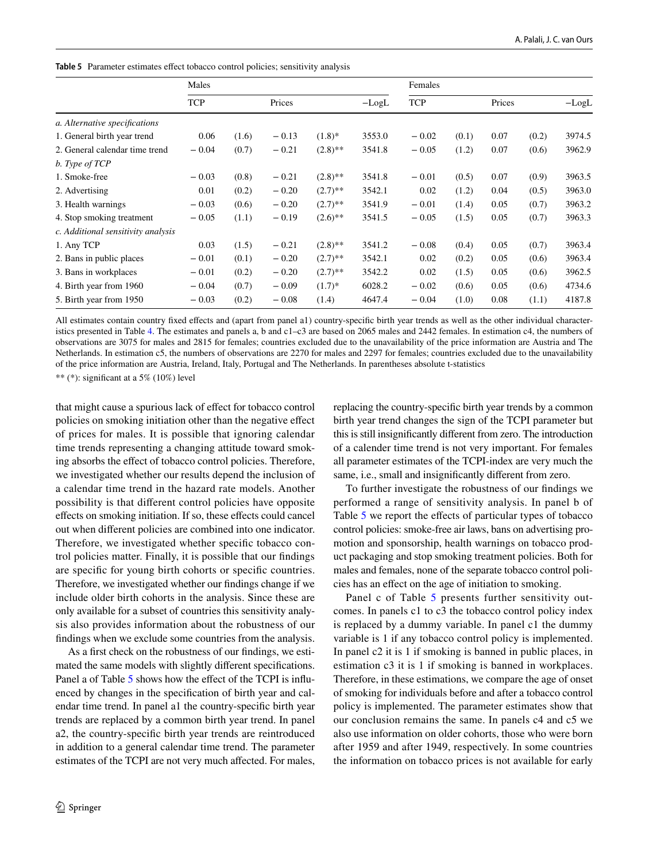<span id="page-11-0"></span>Table 5 Parameter estimates effect tobacco control policies; sensitivity analysis

|                                    | Males      |       |         |            |         | Females    |       |        |       |         |
|------------------------------------|------------|-------|---------|------------|---------|------------|-------|--------|-------|---------|
|                                    | <b>TCP</b> |       | Prices  |            | $-LogL$ | <b>TCP</b> |       | Prices |       | $-LogL$ |
| a. Alternative specifications      |            |       |         |            |         |            |       |        |       |         |
| 1. General birth year trend        | 0.06       | (1.6) | $-0.13$ | $(1.8)^*$  | 3553.0  | $-0.02$    | (0.1) | 0.07   | (0.2) | 3974.5  |
| 2. General calendar time trend     | $-0.04$    | (0.7) | $-0.21$ | $(2.8)$ ** | 3541.8  | $-0.05$    | (1.2) | 0.07   | (0.6) | 3962.9  |
| b. Type of TCP                     |            |       |         |            |         |            |       |        |       |         |
| 1. Smoke-free                      | $-0.03$    | (0.8) | $-0.21$ | $(2.8)$ ** | 3541.8  | $-0.01$    | (0.5) | 0.07   | (0.9) | 3963.5  |
| 2. Advertising                     | 0.01       | (0.2) | $-0.20$ | $(2.7)$ ** | 3542.1  | 0.02       | (1.2) | 0.04   | (0.5) | 3963.0  |
| 3. Health warnings                 | $-0.03$    | (0.6) | $-0.20$ | $(2.7)$ ** | 3541.9  | $-0.01$    | (1.4) | 0.05   | (0.7) | 3963.2  |
| 4. Stop smoking treatment          | $-0.05$    | (1.1) | $-0.19$ | $(2.6)$ ** | 3541.5  | $-0.05$    | (1.5) | 0.05   | (0.7) | 3963.3  |
| c. Additional sensitivity analysis |            |       |         |            |         |            |       |        |       |         |
| 1. Any TCP                         | 0.03       | (1.5) | $-0.21$ | $(2.8)$ ** | 3541.2  | $-0.08$    | (0.4) | 0.05   | (0.7) | 3963.4  |
| 2. Bans in public places           | $-0.01$    | (0.1) | $-0.20$ | $(2.7)$ ** | 3542.1  | 0.02       | (0.2) | 0.05   | (0.6) | 3963.4  |
| 3. Bans in workplaces              | $-0.01$    | (0.2) | $-0.20$ | $(2.7)$ ** | 3542.2  | 0.02       | (1.5) | 0.05   | (0.6) | 3962.5  |
| 4. Birth year from 1960            | $-0.04$    | (0.7) | $-0.09$ | $(1.7)^*$  | 6028.2  | $-0.02$    | (0.6) | 0.05   | (0.6) | 4734.6  |
| 5. Birth year from 1950            | $-0.03$    | (0.2) | $-0.08$ | (1.4)      | 4647.4  | $-0.04$    | (1.0) | 0.08   | (1.1) | 4187.8  |

All estimates contain country fxed efects and (apart from panel a1) country-specifc birth year trends as well as the other individual characteristics presented in Table [4.](#page-10-0) The estimates and panels a, b and c1–c3 are based on 2065 males and 2442 females. In estimation c4, the numbers of observations are 3075 for males and 2815 for females; countries excluded due to the unavailability of the price information are Austria and The Netherlands. In estimation c5, the numbers of observations are 2270 for males and 2297 for females; countries excluded due to the unavailability of the price information are Austria, Ireland, Italy, Portugal and The Netherlands. In parentheses absolute t-statistics

\*\* (\*): signifcant at a 5% (10%) level

that might cause a spurious lack of efect for tobacco control policies on smoking initiation other than the negative efect of prices for males. It is possible that ignoring calendar time trends representing a changing attitude toward smoking absorbs the efect of tobacco control policies. Therefore, we investigated whether our results depend the inclusion of a calendar time trend in the hazard rate models. Another possibility is that diferent control policies have opposite efects on smoking initiation. If so, these efects could cancel out when diferent policies are combined into one indicator. Therefore, we investigated whether specifc tobacco control policies matter. Finally, it is possible that our fndings are specifc for young birth cohorts or specifc countries. Therefore, we investigated whether our fndings change if we include older birth cohorts in the analysis. Since these are only available for a subset of countries this sensitivity analysis also provides information about the robustness of our fndings when we exclude some countries from the analysis.

As a frst check on the robustness of our fndings, we estimated the same models with slightly diferent specifcations. Panel a of Table [5](#page-11-0) shows how the effect of the TCPI is influenced by changes in the specifcation of birth year and calendar time trend. In panel a1 the country-specifc birth year trends are replaced by a common birth year trend. In panel a2, the country-specifc birth year trends are reintroduced in addition to a general calendar time trend. The parameter estimates of the TCPI are not very much afected. For males,

replacing the country-specifc birth year trends by a common birth year trend changes the sign of the TCPI parameter but this is still insignifcantly diferent from zero. The introduction of a calender time trend is not very important. For females all parameter estimates of the TCPI-index are very much the same, i.e., small and insignifcantly diferent from zero.

To further investigate the robustness of our fndings we performed a range of sensitivity analysis. In panel b of Table [5](#page-11-0) we report the effects of particular types of tobacco control policies: smoke-free air laws, bans on advertising promotion and sponsorship, health warnings on tobacco product packaging and stop smoking treatment policies. Both for males and females, none of the separate tobacco control policies has an efect on the age of initiation to smoking.

Panel c of Table [5](#page-11-0) presents further sensitivity outcomes. In panels c1 to c3 the tobacco control policy index is replaced by a dummy variable. In panel c1 the dummy variable is 1 if any tobacco control policy is implemented. In panel c2 it is 1 if smoking is banned in public places, in estimation c3 it is 1 if smoking is banned in workplaces. Therefore, in these estimations, we compare the age of onset of smoking for individuals before and after a tobacco control policy is implemented. The parameter estimates show that our conclusion remains the same. In panels c4 and c5 we also use information on older cohorts, those who were born after 1959 and after 1949, respectively. In some countries the information on tobacco prices is not available for early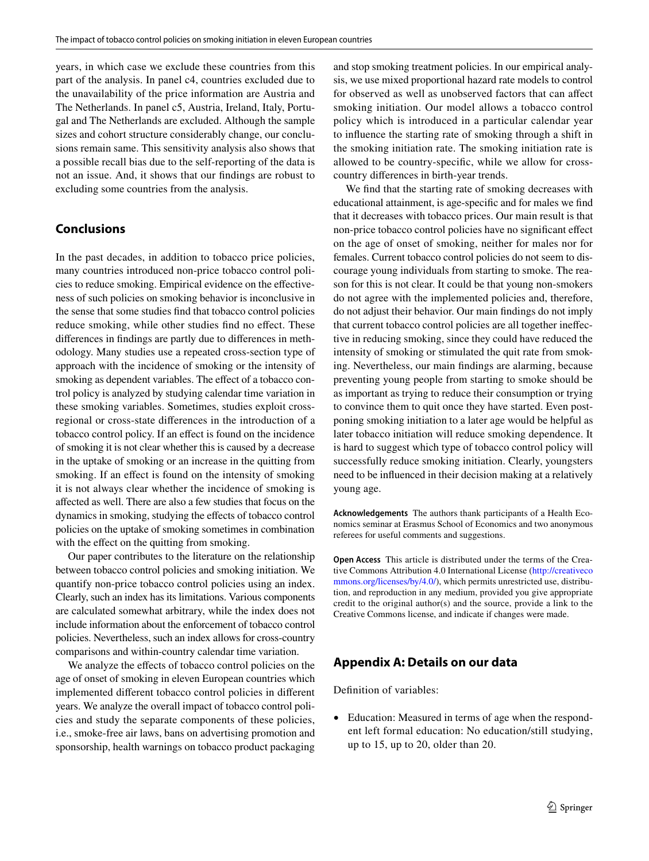years, in which case we exclude these countries from this part of the analysis. In panel c4, countries excluded due to the unavailability of the price information are Austria and The Netherlands. In panel c5, Austria, Ireland, Italy, Portugal and The Netherlands are excluded. Although the sample sizes and cohort structure considerably change, our conclusions remain same. This sensitivity analysis also shows that a possible recall bias due to the self-reporting of the data is not an issue. And, it shows that our fndings are robust to excluding some countries from the analysis.

# <span id="page-12-0"></span>**Conclusions**

In the past decades, in addition to tobacco price policies, many countries introduced non-price tobacco control policies to reduce smoking. Empirical evidence on the efectiveness of such policies on smoking behavior is inconclusive in the sense that some studies fnd that tobacco control policies reduce smoking, while other studies find no effect. These diferences in fndings are partly due to diferences in methodology. Many studies use a repeated cross-section type of approach with the incidence of smoking or the intensity of smoking as dependent variables. The effect of a tobacco control policy is analyzed by studying calendar time variation in these smoking variables. Sometimes, studies exploit crossregional or cross-state diferences in the introduction of a tobacco control policy. If an efect is found on the incidence of smoking it is not clear whether this is caused by a decrease in the uptake of smoking or an increase in the quitting from smoking. If an effect is found on the intensity of smoking it is not always clear whether the incidence of smoking is afected as well. There are also a few studies that focus on the dynamics in smoking, studying the efects of tobacco control policies on the uptake of smoking sometimes in combination with the effect on the quitting from smoking.

Our paper contributes to the literature on the relationship between tobacco control policies and smoking initiation. We quantify non-price tobacco control policies using an index. Clearly, such an index has its limitations. Various components are calculated somewhat arbitrary, while the index does not include information about the enforcement of tobacco control policies. Nevertheless, such an index allows for cross-country comparisons and within-country calendar time variation.

We analyze the effects of tobacco control policies on the age of onset of smoking in eleven European countries which implemented diferent tobacco control policies in diferent years. We analyze the overall impact of tobacco control policies and study the separate components of these policies, i.e., smoke-free air laws, bans on advertising promotion and sponsorship, health warnings on tobacco product packaging and stop smoking treatment policies. In our empirical analysis, we use mixed proportional hazard rate models to control for observed as well as unobserved factors that can afect smoking initiation. Our model allows a tobacco control policy which is introduced in a particular calendar year to infuence the starting rate of smoking through a shift in the smoking initiation rate. The smoking initiation rate is allowed to be country-specifc, while we allow for crosscountry diferences in birth-year trends.

We fnd that the starting rate of smoking decreases with educational attainment, is age-specifc and for males we fnd that it decreases with tobacco prices. Our main result is that non-price tobacco control policies have no signifcant efect on the age of onset of smoking, neither for males nor for females. Current tobacco control policies do not seem to discourage young individuals from starting to smoke. The reason for this is not clear. It could be that young non-smokers do not agree with the implemented policies and, therefore, do not adjust their behavior. Our main fndings do not imply that current tobacco control policies are all together inefective in reducing smoking, since they could have reduced the intensity of smoking or stimulated the quit rate from smoking. Nevertheless, our main fndings are alarming, because preventing young people from starting to smoke should be as important as trying to reduce their consumption or trying to convince them to quit once they have started. Even postponing smoking initiation to a later age would be helpful as later tobacco initiation will reduce smoking dependence. It is hard to suggest which type of tobacco control policy will successfully reduce smoking initiation. Clearly, youngsters need to be infuenced in their decision making at a relatively young age.

**Acknowledgements** The authors thank participants of a Health Economics seminar at Erasmus School of Economics and two anonymous referees for useful comments and suggestions.

**Open Access** This article is distributed under the terms of the Creative Commons Attribution 4.0 International License ([http://creativeco](http://creativecommons.org/licenses/by/4.0/) [mmons.org/licenses/by/4.0/](http://creativecommons.org/licenses/by/4.0/)), which permits unrestricted use, distribution, and reproduction in any medium, provided you give appropriate credit to the original author(s) and the source, provide a link to the Creative Commons license, and indicate if changes were made.

# **Appendix A: Details on our data**

Defnition of variables:

• Education: Measured in terms of age when the respondent left formal education: No education/still studying, up to 15, up to 20, older than 20.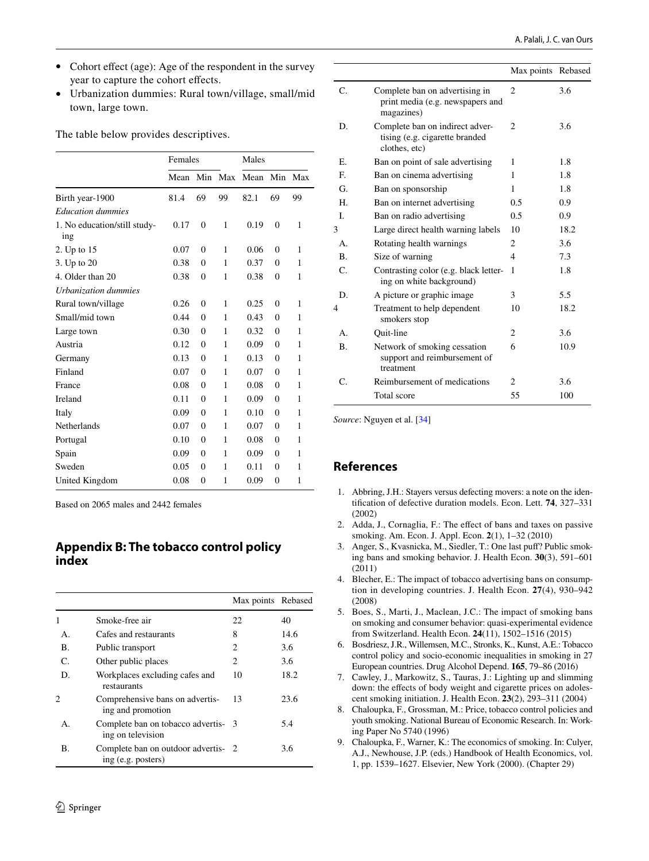- Cohort effect (age): Age of the respondent in the survey year to capture the cohort efects.
- Urbanization dummies: Rural town/village, small/mid town, large town.

The table below provides descriptives.

|                                     | Females |                |     | Males |                |     |
|-------------------------------------|---------|----------------|-----|-------|----------------|-----|
|                                     | Mean    | Min            | Max | Mean  | Min            | Max |
| Birth year-1900                     | 81.4    | 69             | 99  | 82.1  | 69             | 99  |
| <b>Education dummies</b>            |         |                |     |       |                |     |
| 1. No education/still study-<br>ing | 0.17    | $\overline{0}$ | 1   | 0.19  | $\overline{0}$ | 1   |
| 2. Up to 15                         | 0.07    | $\Omega$       | 1   | 0.06  | $\Omega$       | 1   |
| 3. Up to 20                         | 0.38    | $\Omega$       | 1   | 0.37  | $\theta$       | 1   |
| 4. Older than 20                    | 0.38    | $\overline{0}$ | 1   | 0.38  | $\overline{0}$ | 1   |
| Urbanization dummies                |         |                |     |       |                |     |
| Rural town/village                  | 0.26    | $\Omega$       | 1   | 0.25  | $\Omega$       | 1   |
| Small/mid town                      | 0.44    | $\theta$       | 1   | 0.43  | $\theta$       | 1   |
| Large town                          | 0.30    | $\Omega$       | 1   | 0.32  | $\theta$       | 1   |
| Austria                             | 0.12    | $\theta$       | 1   | 0.09  | $\Omega$       | 1   |
| Germany                             | 0.13    | $\theta$       | 1   | 0.13  | $\theta$       | 1   |
| Finland                             | 0.07    | $\theta$       | 1   | 0.07  | $\Omega$       | 1   |
| France                              | 0.08    | $\Omega$       | 1   | 0.08  | $\theta$       | 1   |
| Ireland                             | 0.11    | $\theta$       | 1   | 0.09  | $\Omega$       | 1   |
| Italy                               | 0.09    | $\theta$       | 1   | 0.10  | $\theta$       | 1   |
| <b>Netherlands</b>                  | 0.07    | $\theta$       | 1   | 0.07  | $\Omega$       | 1   |
| Portugal                            | 0.10    | $\Omega$       | 1   | 0.08  | $\theta$       | 1   |
| Spain                               | 0.09    | $\Omega$       | 1   | 0.09  | $\Omega$       | 1   |
| Sweden                              | 0.05    | $\theta$       | 1   | 0.11  | $\mathbf{0}$   | 1   |
| United Kingdom                      | 0.08    | $\theta$       | 1   | 0.09  | $\overline{0}$ | 1   |

Based on 2065 males and 2442 females

## **Appendix B: The tobacco control policy index**

|                |                                                           | Max points Rebased |      |
|----------------|-----------------------------------------------------------|--------------------|------|
| 1              | Smoke-free air                                            | 22                 | 40   |
| $\mathbf{A}$ . | Cafes and restaurants                                     | 8                  | 14.6 |
| В.             | Public transport                                          | 2                  | 3.6  |
| C.             | Other public places                                       | 2                  | 3.6  |
| D.             | Workplaces excluding cafes and<br>restaurants             | 10                 | 18.2 |
| $\mathfrak{D}$ | Comprehensive bans on advertis-<br>ing and promotion      | 13                 | 23.6 |
| А.             | Complete ban on tobacco advertis- 3<br>ing on television  |                    | 5.4  |
| В.             | Complete ban on outdoor advertis- 2<br>ing (e.g. posters) |                    | 3.6  |

|              |                                                                                    | Max points Rebased          |      |
|--------------|------------------------------------------------------------------------------------|-----------------------------|------|
| C.           | Complete ban on advertising in<br>print media (e.g. newspapers and<br>magazines)   | $\overline{c}$              | 3.6  |
| D.           | Complete ban on indirect adver-<br>tising (e.g. cigarette branded<br>clothes, etc) | $\overline{c}$              | 3.6  |
| Е.           | Ban on point of sale advertising                                                   | 1                           | 1.8  |
| E.           | Ban on cinema advertising                                                          | 1                           | 1.8  |
| G.           | Ban on sponsorship                                                                 | 1                           | 1.8  |
| Н.           | Ban on internet advertising                                                        | 0.5                         | 0.9  |
| Ī.           | Ban on radio advertising                                                           | 0.5                         | 0.9  |
| 3            | Large direct health warning labels                                                 | 10                          | 18.2 |
| $\mathbf{A}$ | Rotating health warnings                                                           | $\overline{c}$              | 3.6  |
| <b>B.</b>    | Size of warning                                                                    | $\overline{\mathcal{L}}$    | 7.3  |
| C.           | Contrasting color (e.g. black letter-<br>ing on white background)                  | 1                           | 1.8  |
| D.           | A picture or graphic image                                                         | 3                           | 5.5  |
| 4            | Treatment to help dependent<br>smokers stop                                        | 10                          | 18.2 |
| $\mathbf{A}$ | Ouit-line                                                                          | $\mathcal{D}_{\mathcal{L}}$ | 3.6  |
| <b>B.</b>    | Network of smoking cessation<br>support and reimbursement of<br>treatment          | 6                           | 10.9 |
| C.           | Reimbursement of medications                                                       | $\overline{c}$              | 3.6  |
|              | Total score                                                                        | 55                          | 100  |

*Source*: Nguyen et al. [\[34\]](#page-14-36)

## **References**

- <span id="page-13-8"></span>1. Abbring, J.H.: Stayers versus defecting movers: a note on the identifcation of defective duration models. Econ. Lett. **74**, 327–331 (2002)
- <span id="page-13-3"></span>2. Adda, J., Cornaglia, F.: The efect of bans and taxes on passive smoking. Am. Econ. J. Appl. Econ. **2**(1), 1–32 (2010)
- <span id="page-13-4"></span>3. Anger, S., Kvasnicka, M., Siedler, T.: One last puf? Public smoking bans and smoking behavior. J. Health Econ. **30**(3), 591–601 (2011)
- <span id="page-13-1"></span>4. Blecher, E.: The impact of tobacco advertising bans on consumption in developing countries. J. Health Econ. **27**(4), 930–942 (2008)
- <span id="page-13-5"></span>5. Boes, S., Marti, J., Maclean, J.C.: The impact of smoking bans on smoking and consumer behavior: quasi-experimental evidence from Switzerland. Health Econ. **24**(11), 1502–1516 (2015)
- <span id="page-13-7"></span>6. Bosdriesz, J.R., Willemsen, M.C., Stronks, K., Kunst, A.E.: Tobacco control policy and socio-economic inequalities in smoking in 27 European countries. Drug Alcohol Depend. **165**, 79–86 (2016)
- <span id="page-13-6"></span>7. Cawley, J., Markowitz, S., Tauras, J.: Lighting up and slimming down: the effects of body weight and cigarette prices on adolescent smoking initiation. J. Health Econ. **23**(2), 293–311 (2004)
- <span id="page-13-2"></span>8. Chaloupka, F., Grossman, M.: Price, tobacco control policies and youth smoking. National Bureau of Economic Research. In: Working Paper No 5740 (1996)
- <span id="page-13-0"></span>9. Chaloupka, F., Warner, K.: The economics of smoking. In: Culyer, A.J., Newhouse, J.P. (eds.) Handbook of Health Economics, vol. 1, pp. 1539–1627. Elsevier, New York (2000). (Chapter 29)